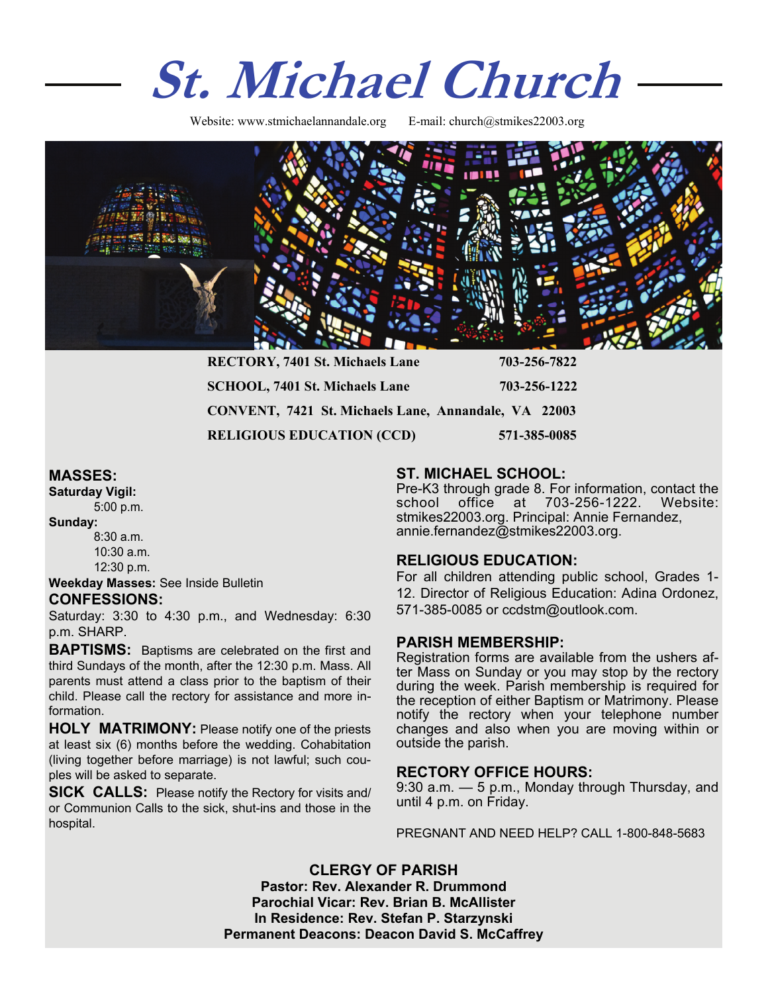# **St. Michael Church**

Website: www.stmichaelannandale.org E-mail: church@stmikes22003.org



| <b>RECTORY, 7401 St. Michaels Lane</b>               | 703-256-7822 |
|------------------------------------------------------|--------------|
| <b>SCHOOL, 7401 St. Michaels Lane</b>                | 703-256-1222 |
| CONVENT, 7421 St. Michaels Lane, Annandale, VA 22003 |              |
| <b>RELIGIOUS EDUCATION (CCD)</b>                     | 571-385-0085 |

# **MASSES:**

**Saturday Vigil:**  5:00 p.m.

**Sunday:** 

8:30 a.m. 10:30 a.m. 12:30 p.m.

**Weekday Masses:** See Inside Bulletin **CONFESSIONS:** 

Saturday: 3:30 to 4:30 p.m., and Wednesday: 6:30 p.m. SHARP.

**BAPTISMS:** Baptisms are celebrated on the first and third Sundays of the month, after the 12:30 p.m. Mass. All parents must attend a class prior to the baptism of their child. Please call the rectory for assistance and more information.

**HOLY MATRIMONY:** Please notify one of the priests at least six (6) months before the wedding. Cohabitation (living together before marriage) is not lawful; such couples will be asked to separate.

**SICK CALLS:** Please notify the Rectory for visits and/ or Communion Calls to the sick, shut-ins and those in the hospital.

# **ST. MICHAEL SCHOOL:**

Pre-K3 through grade 8. For information, contact the school office at 703-256-1222. Website: stmikes22003.org. Principal: Annie Fernandez, annie.fernandez@stmikes22003.org.

# **RELIGIOUS EDUCATION:**

For all children attending public school, Grades 1- 12. Director of Religious Education: Adina Ordonez, 571-385-0085 or ccdstm@outlook.com.

## **PARISH MEMBERSHIP:**

Registration forms are available from the ushers after Mass on Sunday or you may stop by the rectory during the week. Parish membership is required for the reception of either Baptism or Matrimony. Please notify the rectory when your telephone number changes and also when you are moving within or outside the parish.

**RECTORY OFFICE HOURS:**<br>9:30 a.m. — 5 p.m., Monday through Thursday, and until 4 p.m. on Friday.

PREGNANT AND NEED HELP? CALL 1-800-848-5683

**CLERGY OF PARISH Pastor: Rev. Alexander R. Drummond Parochial Vicar: Rev. Brian B. McAllister In Residence: Rev. Stefan P. Starzynski Permanent Deacons: Deacon David S. McCaffrey**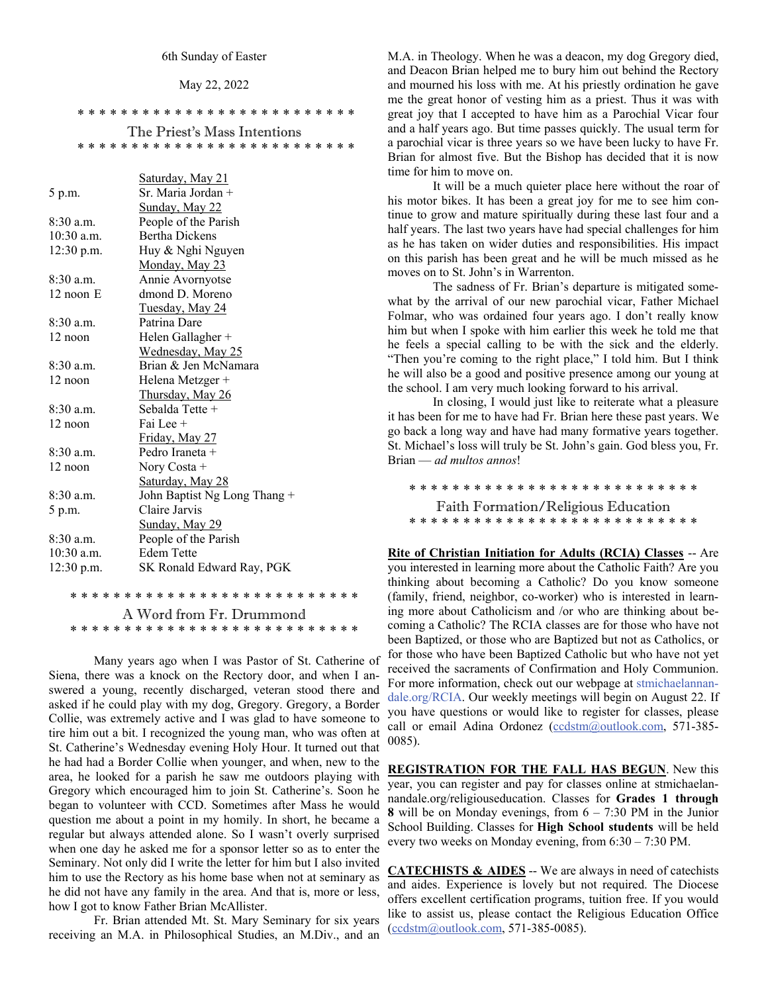#### May 22, 2022

\* \* \* \* \* \* \* \* \* \* \* \* \* \* \* \* \* \* \* \* \* \* \* \* \* \*

The Priest's Mass Intentions \* \* \* \* \* \* \* \* \* \* \* \* \* \* \* \* \* \* \* \* \* \* \* \* \* \*

|              | Saturday, May 21             |
|--------------|------------------------------|
| 5 p.m.       | Sr. Maria Jordan +           |
|              | Sunday, May 22               |
| $8:30$ a.m.  | People of the Parish         |
| $10:30$ a.m. | <b>Bertha Dickens</b>        |
| $12:30$ p.m. | Huy & Nghi Nguyen            |
|              | Monday, May 23               |
| $8:30$ a.m.  | Annie Avornyotse             |
| $12$ noon E  | dmond D. Moreno              |
|              | <u>Tuesday, May 24</u>       |
| $8:30$ a.m.  | Patrina Dare                 |
| 12 noon      | Helen Gallagher +            |
|              | Wednesday, May 25            |
| $8:30$ a.m.  | Brian & Jen McNamara         |
| 12 noon      | Helena Metzger +             |
|              | Thursday, May 26             |
| 8:30 a.m.    | Sebalda Tette +              |
| $12$ noon    | Fai Lee +                    |
|              | Friday, May 27               |
| $8:30$ a.m.  | Pedro Iraneta +              |
| 12 noon      | Nory Costa +                 |
|              | Saturday, May 28             |
| $8:30$ a.m.  | John Baptist Ng Long Thang + |
| 5 p.m.       | Claire Jarvis                |
|              | <u>Sunday, May 29</u>        |
| 8:30 a.m.    | People of the Parish         |
| $10:30$ a.m. | <b>Edem Tette</b>            |
| $12:30$ p.m. | SK Ronald Edward Ray, PGK    |
|              |                              |

\* \* \* \* \* \* \* \* \* \* \* \* \* \* \* \* \* \* \* \* \* \* \* \* \* \* \* A Word from Fr. Drummond \* \* \* \* \* \* \* \* \* \* \* \* \* \* \* \* \* \* \* \* \* \* \* \* \* \* \*

 Many years ago when I was Pastor of St. Catherine of Siena, there was a knock on the Rectory door, and when I answered a young, recently discharged, veteran stood there and asked if he could play with my dog, Gregory. Gregory, a Border Collie, was extremely active and I was glad to have someone to tire him out a bit. I recognized the young man, who was often at St. Catherine's Wednesday evening Holy Hour. It turned out that he had had a Border Collie when younger, and when, new to the area, he looked for a parish he saw me outdoors playing with Gregory which encouraged him to join St. Catherine's. Soon he began to volunteer with CCD. Sometimes after Mass he would question me about a point in my homily. In short, he became a regular but always attended alone. So I wasn't overly surprised when one day he asked me for a sponsor letter so as to enter the Seminary. Not only did I write the letter for him but I also invited him to use the Rectory as his home base when not at seminary as he did not have any family in the area. And that is, more or less, how I got to know Father Brian McAllister.

 Fr. Brian attended Mt. St. Mary Seminary for six years receiving an M.A. in Philosophical Studies, an M.Div., and an

M.A. in Theology. When he was a deacon, my dog Gregory died, and Deacon Brian helped me to bury him out behind the Rectory and mourned his loss with me. At his priestly ordination he gave me the great honor of vesting him as a priest. Thus it was with great joy that I accepted to have him as a Parochial Vicar four and a half years ago. But time passes quickly. The usual term for a parochial vicar is three years so we have been lucky to have Fr. Brian for almost five. But the Bishop has decided that it is now time for him to move on.

 It will be a much quieter place here without the roar of his motor bikes. It has been a great joy for me to see him continue to grow and mature spiritually during these last four and a half years. The last two years have had special challenges for him as he has taken on wider duties and responsibilities. His impact on this parish has been great and he will be much missed as he moves on to St. John's in Warrenton.

 The sadness of Fr. Brian's departure is mitigated somewhat by the arrival of our new parochial vicar, Father Michael Folmar, who was ordained four years ago. I don't really know him but when I spoke with him earlier this week he told me that he feels a special calling to be with the sick and the elderly. "Then you're coming to the right place," I told him. But I think he will also be a good and positive presence among our young at the school. I am very much looking forward to his arrival.

 In closing, I would just like to reiterate what a pleasure it has been for me to have had Fr. Brian here these past years. We go back a long way and have had many formative years together. St. Michael's loss will truly be St. John's gain. God bless you, Fr. Brian — *ad multos annos*!

\* \* \* \* \* \* \* \* \* \* \* \* \* \* \* \* \* \* \* \* \* \* \* \* \* \* \* Faith Formation/Religious Education \* \* \* \* \* \* \* \* \* \* \* \* \* \* \* \* \* \* \* \* \* \* \* \* \* \* \*

**Rite of Christian Initiation for Adults (RCIA) Classes** -- Are you interested in learning more about the Catholic Faith? Are you thinking about becoming a Catholic? Do you know someone (family, friend, neighbor, co-worker) who is interested in learning more about Catholicism and /or who are thinking about becoming a Catholic? The RCIA classes are for those who have not been Baptized, or those who are Baptized but not as Catholics, or for those who have been Baptized Catholic but who have not yet received the sacraments of Confirmation and Holy Communion. For more information, check out our webpage at stmichaelannandale.org/RCIA. Our weekly meetings will begin on August 22. If you have questions or would like to register for classes, please call or email Adina Ordonez [\(ccdstm@outlook.com](mailto:ccdstm@outlook.com), 571-385- 0085).

**REGISTRATION FOR THE FALL HAS BEGUN**. New this year, you can register and pay for classes online at stmichaelannandale.org/religiouseducation. Classes for **Grades 1 through 8** will be on Monday evenings, from 6 – 7:30 PM in the Junior School Building. Classes for **High School students** will be held every two weeks on Monday evening, from 6:30 – 7:30 PM.

**CATECHISTS & AIDES** -- We are always in need of catechists and aides. Experience is lovely but not required. The Diocese offers excellent certification programs, tuition free. If you would like to assist us, please contact the Religious Education Office  $(ccdstm@outlook.com, 571-385-0085).$  $(ccdstm@outlook.com, 571-385-0085).$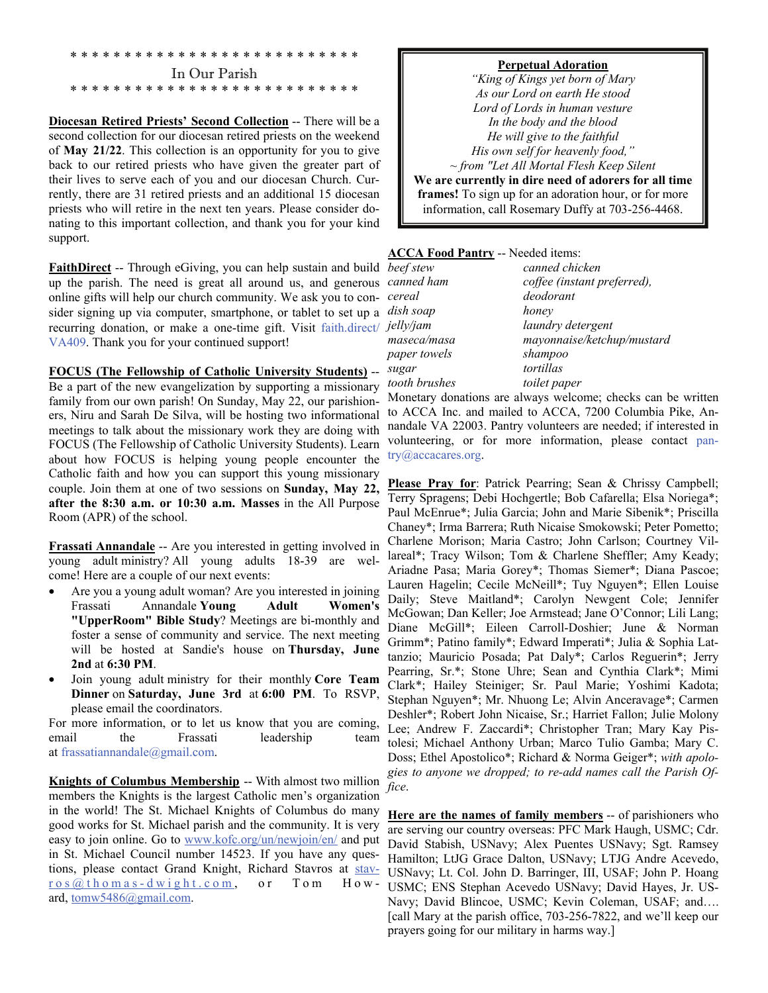#### \* \* \* \* \* \* \* \* \* \* \* \* \* \* \* \* \* \* \* \* \* \* \* \* \* \* \* In Our Parish \* \* \* \* \* \* \* \* \* \* \* \* \* \* \* \* \* \* \* \* \* \* \* \* \* \* \*

**Diocesan Retired Priests' Second Collection** -- There will be a second collection for our diocesan retired priests on the weekend of **May 21/22**. This collection is an opportunity for you to give back to our retired priests who have given the greater part of their lives to serve each of you and our diocesan Church. Currently, there are 31 retired priests and an additional 15 diocesan priests who will retire in the next ten years. Please consider donating to this important collection, and thank you for your kind support.

**FaithDirect** -- Through eGiving, you can help sustain and build up the parish. The need is great all around us, and generous online gifts will help our church community. We ask you to consider signing up via computer, smartphone, or tablet to set up a recurring donation, or make a one-time gift. Visit faith.direct/ J VA409. Thank you for your continued support!

#### **FOCUS (The Fellowship of Catholic University Students)** --

Be a part of the new evangelization by supporting a missionary family from our own parish! On Sunday, May 22, our parishioners, Niru and Sarah De Silva, will be hosting two informational meetings to talk about the missionary work they are doing with FOCUS (The Fellowship of Catholic University Students). Learn about how FOCUS is helping young people encounter the Catholic faith and how you can support this young missionary couple. Join them at one of two sessions on **Sunday, May 22, after the 8:30 a.m. or 10:30 a.m. Masses** in the All Purpose Room (APR) of the school.

**Frassati Annandale** -- Are you interested in getting involved in young adult ministry? All young adults 18-39 are welcome! Here are a couple of our next events:

- Are you a young adult woman? Are you interested in joining Frassati Annandale **Young Adult Women's "UpperRoom" Bible Study**? Meetings are bi-monthly and foster a sense of community and service. The next meeting will be hosted at Sandie's house on **Thursday, June 2nd** at **6:30 PM**.
- Join young adult ministry for their monthly **Core Team Dinner** on **Saturday, June 3rd** at **6:00 PM**. To RSVP, please email the coordinators.

For more information, or to let us know that you are coming, email the Frassati leadership team at frassatiannandale@gmail.com.

**Knights of Columbus Membership** -- With almost two million members the Knights is the largest Catholic men's organization in the world! The St. Michael Knights of Columbus do many good works for St. Michael parish and the community. It is very easy to join online. Go to [www.kofc.org/un/newjoin/en/](http://www.kofc.org/un/newjoin/en/) and put in St. Michael Council number 14523. If you have any questions, please contact Grand Knight, Richard Stavros at [stav](mailto:stavros@thomas-dwight.com)[ros@thomas-dwight.com](mailto:stavros@thomas-dwight.com), or Tom Howard, [tomw5486@gmail.com](mailto:tomw5486@gmail.com).

#### **Perpetual Adoration**

*"King of Kings yet born of Mary As our Lord on earth He stood Lord of Lords in human vesture In the body and the blood He will give to the faithful His own self for heavenly food," ~ from "Let All Mortal Flesh Keep Silent* 

**We are currently in dire need of adorers for all time frames!** To sign up for an adoration hour, or for more information, call Rosemary Duffy at 703-256-4468.

### **ACCA Food Pantry** -- Needed items:

| beef stew     | canned chicken              |
|---------------|-----------------------------|
| canned ham    | coffee (instant preferred), |
| cereal        | deodorant                   |
| dish soap     | honey                       |
| jelly/jam     | laundry detergent           |
| maseca/masa   | mayonnaise/ketchup/mustard  |
| paper towels  | shampoo                     |
| sugar         | tortillas                   |
| tooth brushes | toilet paper                |
|               |                             |

Monetary donations are always welcome; checks can be written to ACCA Inc. and mailed to ACCA, 7200 Columbia Pike, Annandale VA 22003. Pantry volunteers are needed; if interested in volunteering, or for more information, please contact pantry@accacares.org.

Please Pray for: Patrick Pearring; Sean & Chrissy Campbell; Terry Spragens; Debi Hochgertle; Bob Cafarella; Elsa Noriega\*; Paul McEnrue\*; Julia Garcia; John and Marie Sibenik\*; Priscilla Chaney\*; Irma Barrera; Ruth Nicaise Smokowski; Peter Pometto; Charlene Morison; Maria Castro; John Carlson; Courtney Villareal\*; Tracy Wilson; Tom & Charlene Sheffler; Amy Keady; Ariadne Pasa; Maria Gorey\*; Thomas Siemer\*; Diana Pascoe; Lauren Hagelin; Cecile McNeill\*; Tuy Nguyen\*; Ellen Louise Daily; Steve Maitland\*; Carolyn Newgent Cole; Jennifer McGowan; Dan Keller; Joe Armstead; Jane O'Connor; Lili Lang; Diane McGill\*; Eileen Carroll-Doshier; June & Norman Grimm\*; Patino family\*; Edward Imperati\*; Julia & Sophia Lattanzio; Mauricio Posada; Pat Daly\*; Carlos Reguerin\*; Jerry Pearring, Sr.\*; Stone Uhre; Sean and Cynthia Clark\*; Mimi Clark\*; Hailey Steiniger; Sr. Paul Marie; Yoshimi Kadota; Stephan Nguyen\*; Mr. Nhuong Le; Alvin Anceravage\*; Carmen Deshler\*; Robert John Nicaise, Sr.; Harriet Fallon; Julie Molony Lee; Andrew F. Zaccardi\*; Christopher Tran; Mary Kay Pistolesi; Michael Anthony Urban; Marco Tulio Gamba; Mary C. Doss; Ethel Apostolico\*; Richard & Norma Geiger\*; *with apologies to anyone we dropped; to re-add names call the Parish Office*.

**Here are the names of family members** -- of parishioners who are serving our country overseas: PFC Mark Haugh, USMC; Cdr. David Stabish, USNavy; Alex Puentes USNavy; Sgt. Ramsey Hamilton; LtJG Grace Dalton, USNavy; LTJG Andre Acevedo, USNavy; Lt. Col. John D. Barringer, III, USAF; John P. Hoang USMC; ENS Stephan Acevedo USNavy; David Hayes, Jr. US-Navy; David Blincoe, USMC; Kevin Coleman, USAF; and…. [call Mary at the parish office, 703-256-7822, and we'll keep our prayers going for our military in harms way.]